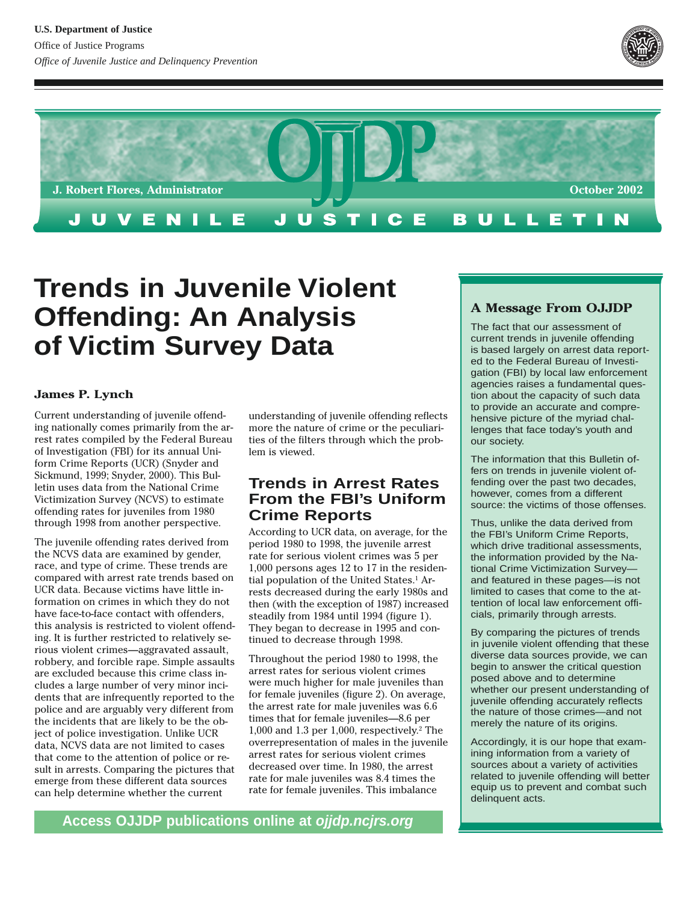



# **Trends in Juvenile Violent Offending: An Analysis of Victim Survey Data**

## **James P. Lynch**

Current understanding of juvenile offending nationally comes primarily from the arrest rates compiled by the Federal Bureau of Investigation (FBI) for its annual Uniform Crime Reports (UCR) (Snyder and Sickmund, 1999; Snyder, 2000). This Bulletin uses data from the National Crime Victimization Survey (NCVS) to estimate offending rates for juveniles from 1980 through 1998 from another perspective.

The juvenile offending rates derived from the NCVS data are examined by gender, race, and type of crime. These trends are compared with arrest rate trends based on UCR data. Because victims have little information on crimes in which they do not have face-to-face contact with offenders, this analysis is restricted to violent offending. It is further restricted to relatively serious violent crimes—aggravated assault, robbery, and forcible rape. Simple assaults are excluded because this crime class includes a large number of very minor incidents that are infrequently reported to the police and are arguably very different from the incidents that are likely to be the object of police investigation. Unlike UCR data, NCVS data are not limited to cases that come to the attention of police or result in arrests. Comparing the pictures that emerge from these different data sources can help determine whether the current

understanding of juvenile offending reflects more the nature of crime or the peculiarities of the filters through which the problem is viewed.

# **Trends in Arrest Rates From the FBI's Uniform Crime Reports**

According to UCR data, on average, for the period 1980 to 1998, the juvenile arrest rate for serious violent crimes was 5 per 1,000 persons ages 12 to 17 in the residential population of the United States.<sup>1</sup> Arrests decreased during the early 1980s and then (with the exception of 1987) increased steadily from 1984 until 1994 (figure 1). They began to decrease in 1995 and continued to decrease through 1998.

Throughout the period 1980 to 1998, the arrest rates for serious violent crimes were much higher for male juveniles than for female juveniles (figure 2). On average, the arrest rate for male juveniles was 6.6 times that for female juveniles—8.6 per 1,000 and 1.3 per 1,000, respectively.2 The overrepresentation of males in the juvenile arrest rates for serious violent crimes decreased over time. In 1980, the arrest rate for male juveniles was 8.4 times the rate for female juveniles. This imbalance

## **A Message From OJJDP**

The fact that our assessment of current trends in juvenile offending is based largely on arrest data reported to the Federal Bureau of Investigation (FBI) by local law enforcement agencies raises a fundamental question about the capacity of such data to provide an accurate and comprehensive picture of the myriad challenges that face today's youth and our society.

The information that this Bulletin offers on trends in juvenile violent offending over the past two decades, however, comes from a different source: the victims of those offenses.

Thus, unlike the data derived from the FBI's Uniform Crime Reports, which drive traditional assessments, the information provided by the National Crime Victimization Survey and featured in these pages—is not limited to cases that come to the attention of local law enforcement officials, primarily through arrests.

By comparing the pictures of trends in juvenile violent offending that these diverse data sources provide, we can begin to answer the critical question posed above and to determine whether our present understanding of juvenile offending accurately reflects the nature of those crimes—and not merely the nature of its origins.

Accordingly, it is our hope that examining information from a variety of sources about a variety of activities related to juvenile offending will better equip us to prevent and combat such delinquent acts.

**Access OJJDP publications online at ojjdp.ncjrs.org**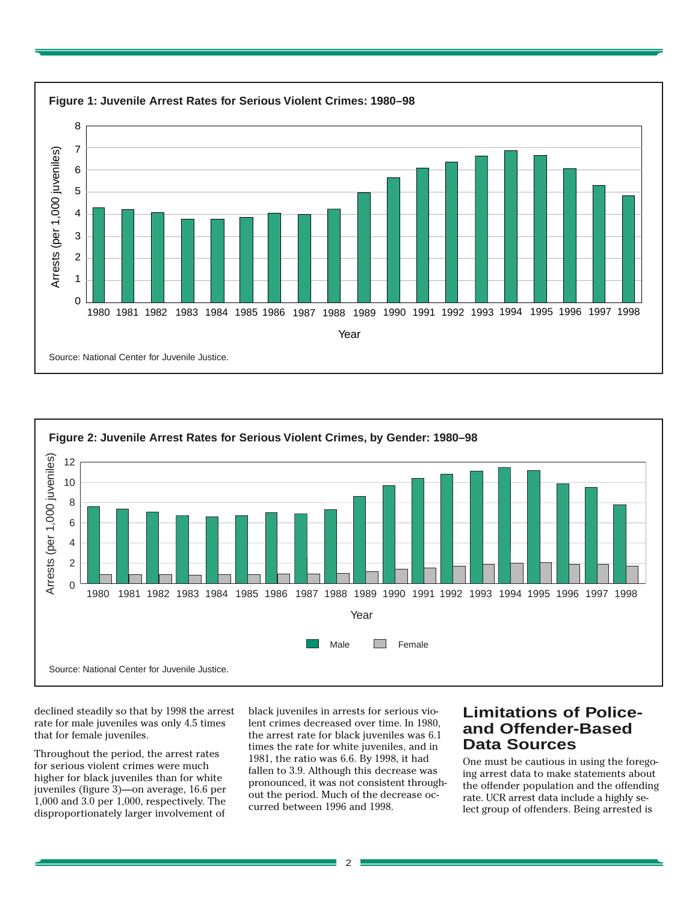



 $\overline{2}$ 

declined steadily so that by 1998 the arrest rate for male juveniles was only 4.5 times that for female juveniles.

Throughout the period, the arrest rates for serious violent crimes were much higher for black juveniles than for white juveniles (figure 3)—on average, 16.6 per 1,000 and 3.0 per 1,000, respectively. The disproportionately larger involvement of

black juveniles in arrests for serious violent crimes decreased over time. In 1980, the arrest rate for black juveniles was 6.1 times the rate for white juveniles, and in 1981, the ratio was 6.6. By 1998, it had fallen to 3.9. Although this decrease was pronounced, it was not consistent throughout the period. Much of the decrease occurred between 1996 and 1998.

# **Limitations of Policeand Offender-Based Data Sources**

One must be cautious in using the foregoing arrest data to make statements about the offender population and the offending rate. UCR arrest data include a highly select group of offenders. Being arrested is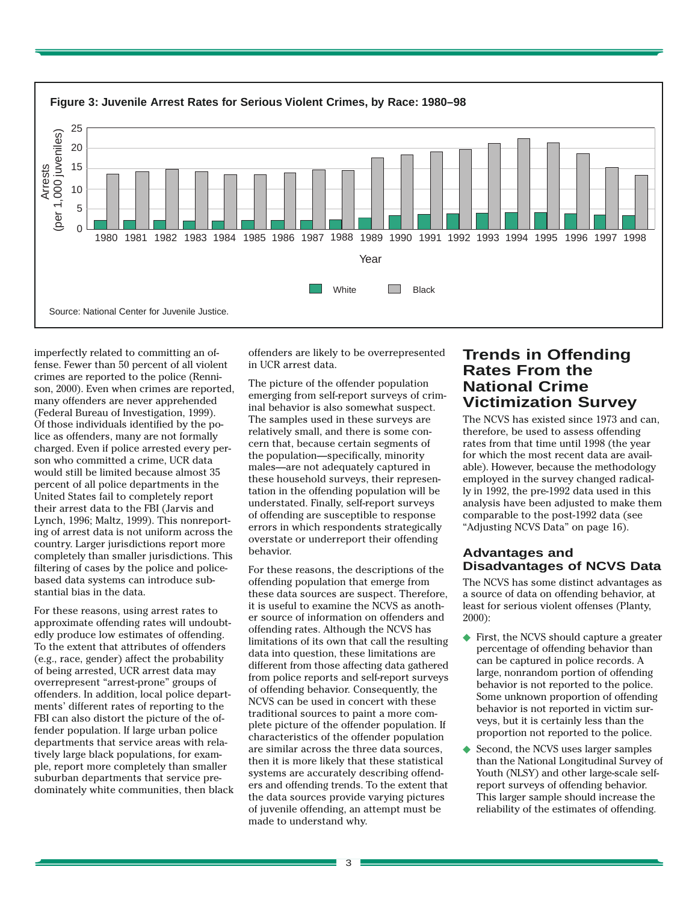

imperfectly related to committing an offense. Fewer than 50 percent of all violent crimes are reported to the police (Rennison, 2000). Even when crimes are reported, many offenders are never apprehended (Federal Bureau of Investigation, 1999). Of those individuals identified by the police as offenders, many are not formally charged. Even if police arrested every person who committed a crime, UCR data would still be limited because almost 35 percent of all police departments in the United States fail to completely report their arrest data to the FBI (Jarvis and Lynch, 1996; Maltz, 1999). This nonreporting of arrest data is not uniform across the country. Larger jurisdictions report more completely than smaller jurisdictions. This filtering of cases by the police and policebased data systems can introduce substantial bias in the data.

For these reasons, using arrest rates to approximate offending rates will undoubtedly produce low estimates of offending. To the extent that attributes of offenders (e.g., race, gender) affect the probability of being arrested, UCR arrest data may overrepresent "arrest-prone" groups of offenders. In addition, local police departments' different rates of reporting to the FBI can also distort the picture of the offender population. If large urban police departments that service areas with relatively large black populations, for example, report more completely than smaller suburban departments that service predominately white communities, then black

offenders are likely to be overrepresented in UCR arrest data.

The picture of the offender population emerging from self-report surveys of criminal behavior is also somewhat suspect. The samples used in these surveys are relatively small, and there is some concern that, because certain segments of the population—specifically, minority males—are not adequately captured in these household surveys, their representation in the offending population will be understated. Finally, self-report surveys of offending are susceptible to response errors in which respondents strategically overstate or underreport their offending behavior.

For these reasons, the descriptions of the offending population that emerge from these data sources are suspect. Therefore, it is useful to examine the NCVS as another source of information on offenders and offending rates. Although the NCVS has limitations of its own that call the resulting data into question, these limitations are different from those affecting data gathered from police reports and self-report surveys of offending behavior. Consequently, the NCVS can be used in concert with these traditional sources to paint a more complete picture of the offender population. If characteristics of the offender population are similar across the three data sources, then it is more likely that these statistical systems are accurately describing offenders and offending trends. To the extent that the data sources provide varying pictures of juvenile offending, an attempt must be made to understand why.

# **Trends in Offending Rates From the National Crime Victimization Survey**

The NCVS has existed since 1973 and can, therefore, be used to assess offending rates from that time until 1998 (the year for which the most recent data are available). However, because the methodology employed in the survey changed radically in 1992, the pre-1992 data used in this analysis have been adjusted to make them comparable to the post-1992 data (see "Adjusting NCVS Data" on page 16).

## **Advantages and Disadvantages of NCVS Data**

The NCVS has some distinct advantages as a source of data on offending behavior, at least for serious violent offenses (Planty, 2000):

- ◆ First, the NCVS should capture a greater percentage of offending behavior than can be captured in police records. A large, nonrandom portion of offending behavior is not reported to the police. Some unknown proportion of offending behavior is not reported in victim surveys, but it is certainly less than the proportion not reported to the police.
- Second, the NCVS uses larger samples than the National Longitudinal Survey of Youth (NLSY) and other large-scale selfreport surveys of offending behavior. This larger sample should increase the reliability of the estimates of offending.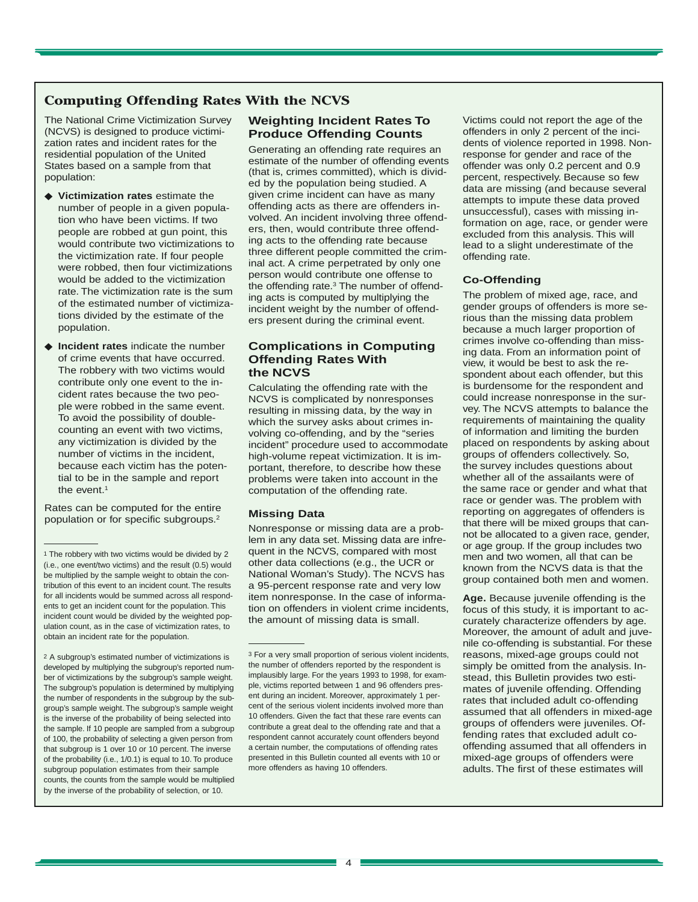## **Computing Offending Rates With the NCVS**

The National Crime Victimization Survey (NCVS) is designed to produce victimization rates and incident rates for the residential population of the United States based on a sample from that population:

- ◆ **Victimization rates** estimate the number of people in a given population who have been victims. If two people are robbed at gun point, this would contribute two victimizations to the victimization rate. If four people were robbed, then four victimizations would be added to the victimization rate. The victimization rate is the sum of the estimated number of victimizations divided by the estimate of the population.
- ◆ **Incident rates** indicate the number of crime events that have occurred. The robbery with two victims would contribute only one event to the incident rates because the two people were robbed in the same event. To avoid the possibility of doublecounting an event with two victims, any victimization is divided by the number of victims in the incident, because each victim has the potential to be in the sample and report the event.<sup>1</sup>

Rates can be computed for the entire population or for specific subgroups.2

2 A subgroup's estimated number of victimizations is developed by multiplying the subgroup's reported number of victimizations by the subgroup's sample weight. The subgroup's population is determined by multiplying the number of respondents in the subgroup by the subgroup's sample weight. The subgroup's sample weight is the inverse of the probability of being selected into the sample. If 10 people are sampled from a subgroup of 100, the probability of selecting a given person from that subgroup is 1 over 10 or 10 percent. The inverse of the probability (i.e., 1/0.1) is equal to 10. To produce subgroup population estimates from their sample counts, the counts from the sample would be multiplied by the inverse of the probability of selection, or 10.

## **Weighting Incident Rates To Produce Offending Counts**

Generating an offending rate requires an estimate of the number of offending events (that is, crimes committed), which is divided by the population being studied. A given crime incident can have as many offending acts as there are offenders involved. An incident involving three offenders, then, would contribute three offending acts to the offending rate because three different people committed the criminal act. A crime perpetrated by only one person would contribute one offense to the offending rate.<sup>3</sup> The number of offending acts is computed by multiplying the incident weight by the number of offenders present during the criminal event.

### **Complications in Computing Offending Rates With the NCVS**

Calculating the offending rate with the NCVS is complicated by nonresponses resulting in missing data, by the way in which the survey asks about crimes involving co-offending, and by the "series incident" procedure used to accommodate high-volume repeat victimization. It is important, therefore, to describe how these problems were taken into account in the computation of the offending rate.

#### **Missing Data**

Nonresponse or missing data are a problem in any data set. Missing data are infrequent in the NCVS, compared with most other data collections (e.g., the UCR or National Woman's Study). The NCVS has a 95-percent response rate and very low item nonresponse. In the case of information on offenders in violent crime incidents, the amount of missing data is small.

Victims could not report the age of the offenders in only 2 percent of the incidents of violence reported in 1998. Nonresponse for gender and race of the offender was only 0.2 percent and 0.9 percent, respectively. Because so few data are missing (and because several attempts to impute these data proved unsuccessful), cases with missing information on age, race, or gender were excluded from this analysis. This will lead to a slight underestimate of the offending rate.

#### **Co-Offending**

The problem of mixed age, race, and gender groups of offenders is more serious than the missing data problem because a much larger proportion of crimes involve co-offending than missing data. From an information point of view, it would be best to ask the respondent about each offender, but this is burdensome for the respondent and could increase nonresponse in the survey. The NCVS attempts to balance the requirements of maintaining the quality of information and limiting the burden placed on respondents by asking about groups of offenders collectively. So, the survey includes questions about whether all of the assailants were of the same race or gender and what that race or gender was. The problem with reporting on aggregates of offenders is that there will be mixed groups that cannot be allocated to a given race, gender, or age group. If the group includes two men and two women, all that can be known from the NCVS data is that the group contained both men and women.

**Age.** Because juvenile offending is the focus of this study, it is important to accurately characterize offenders by age. Moreover, the amount of adult and juvenile co-offending is substantial. For these reasons, mixed-age groups could not simply be omitted from the analysis. Instead, this Bulletin provides two estimates of juvenile offending. Offending rates that included adult co-offending assumed that all offenders in mixed-age groups of offenders were juveniles. Offending rates that excluded adult cooffending assumed that all offenders in mixed-age groups of offenders were adults. The first of these estimates will

<sup>1</sup> The robbery with two victims would be divided by 2 (i.e., one event/two victims) and the result (0.5) would be multiplied by the sample weight to obtain the contribution of this event to an incident count. The results for all incidents would be summed across all respondents to get an incident count for the population. This incident count would be divided by the weighted population count, as in the case of victimization rates, to obtain an incident rate for the population.

<sup>3</sup> For a very small proportion of serious violent incidents, the number of offenders reported by the respondent is implausibly large. For the years 1993 to 1998, for example, victims reported between 1 and 96 offenders present during an incident. Moreover, approximately 1 percent of the serious violent incidents involved more than 10 offenders. Given the fact that these rare events can contribute a great deal to the offending rate and that a respondent cannot accurately count offenders beyond a certain number, the computations of offending rates presented in this Bulletin counted all events with 10 or more offenders as having 10 offenders.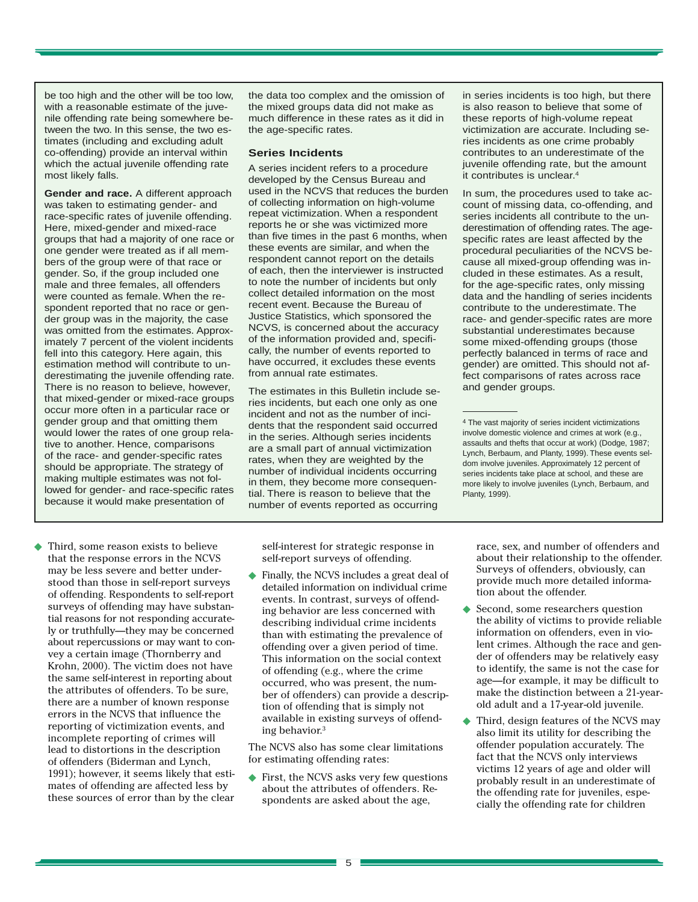be too high and the other will be too low, with a reasonable estimate of the juvenile offending rate being somewhere between the two. In this sense, the two estimates (including and excluding adult co-offending) provide an interval within which the actual juvenile offending rate most likely falls.

**Gender and race.** A different approach was taken to estimating gender- and race-specific rates of juvenile offending. Here, mixed-gender and mixed-race groups that had a majority of one race or one gender were treated as if all members of the group were of that race or gender. So, if the group included one male and three females, all offenders were counted as female. When the respondent reported that no race or gender group was in the majority, the case was omitted from the estimates. Approximately 7 percent of the violent incidents fell into this category. Here again, this estimation method will contribute to underestimating the juvenile offending rate. There is no reason to believe, however, that mixed-gender or mixed-race groups occur more often in a particular race or gender group and that omitting them would lower the rates of one group relative to another. Hence, comparisons of the race- and gender-specific rates should be appropriate. The strategy of making multiple estimates was not followed for gender- and race-specific rates because it would make presentation of

◆ Third, some reason exists to believe that the response errors in the NCVS may be less severe and better understood than those in self-report surveys of offending. Respondents to self-report surveys of offending may have substantial reasons for not responding accurately or truthfully—they may be concerned about repercussions or may want to convey a certain image (Thornberry and Krohn, 2000). The victim does not have the same self-interest in reporting about the attributes of offenders. To be sure, there are a number of known response errors in the NCVS that influence the reporting of victimization events, and incomplete reporting of crimes will lead to distortions in the description of offenders (Biderman and Lynch, 1991); however, it seems likely that estimates of offending are affected less by these sources of error than by the clear the data too complex and the omission of the mixed groups data did not make as much difference in these rates as it did in the age-specific rates.

#### **Series Incidents**

A series incident refers to a procedure developed by the Census Bureau and used in the NCVS that reduces the burden of collecting information on high-volume repeat victimization. When a respondent reports he or she was victimized more than five times in the past 6 months, when these events are similar, and when the respondent cannot report on the details of each, then the interviewer is instructed to note the number of incidents but only collect detailed information on the most recent event. Because the Bureau of Justice Statistics, which sponsored the NCVS, is concerned about the accuracy of the information provided and, specifically, the number of events reported to have occurred, it excludes these events from annual rate estimates.

The estimates in this Bulletin include series incidents, but each one only as one incident and not as the number of incidents that the respondent said occurred in the series. Although series incidents are a small part of annual victimization rates, when they are weighted by the number of individual incidents occurring in them, they become more consequential. There is reason to believe that the number of events reported as occurring

self-interest for strategic response in self-report surveys of offending.

Finally, the NCVS includes a great deal of detailed information on individual crime events. In contrast, surveys of offending behavior are less concerned with describing individual crime incidents than with estimating the prevalence of offending over a given period of time. This information on the social context of offending (e.g., where the crime occurred, who was present, the number of offenders) can provide a description of offending that is simply not available in existing surveys of offending behavior.3

The NCVS also has some clear limitations for estimating offending rates:

◆ First, the NCVS asks very few questions about the attributes of offenders. Respondents are asked about the age,

in series incidents is too high, but there is also reason to believe that some of these reports of high-volume repeat victimization are accurate. Including series incidents as one crime probably contributes to an underestimate of the juvenile offending rate, but the amount it contributes is unclear.4

In sum, the procedures used to take account of missing data, co-offending, and series incidents all contribute to the underestimation of offending rates. The agespecific rates are least affected by the procedural peculiarities of the NCVS because all mixed-group offending was included in these estimates. As a result, for the age-specific rates, only missing data and the handling of series incidents contribute to the underestimate. The race- and gender-specific rates are more substantial underestimates because some mixed-offending groups (those perfectly balanced in terms of race and gender) are omitted. This should not affect comparisons of rates across race and gender groups.

4 The vast majority of series incident victimizations involve domestic violence and crimes at work (e.g., assaults and thefts that occur at work) (Dodge, 1987; Lynch, Berbaum, and Planty, 1999). These events seldom involve juveniles. Approximately 12 percent of series incidents take place at school, and these are more likely to involve juveniles (Lynch, Berbaum, and Planty, 1999).

race, sex, and number of offenders and about their relationship to the offender. Surveys of offenders, obviously, can provide much more detailed information about the offender.

- ◆ Second, some researchers question the ability of victims to provide reliable information on offenders, even in violent crimes. Although the race and gender of offenders may be relatively easy to identify, the same is not the case for age—for example, it may be difficult to make the distinction between a 21-yearold adult and a 17-year-old juvenile.
- Third, design features of the NCVS may also limit its utility for describing the offender population accurately. The fact that the NCVS only interviews victims 12 years of age and older will probably result in an underestimate of the offending rate for juveniles, especially the offending rate for children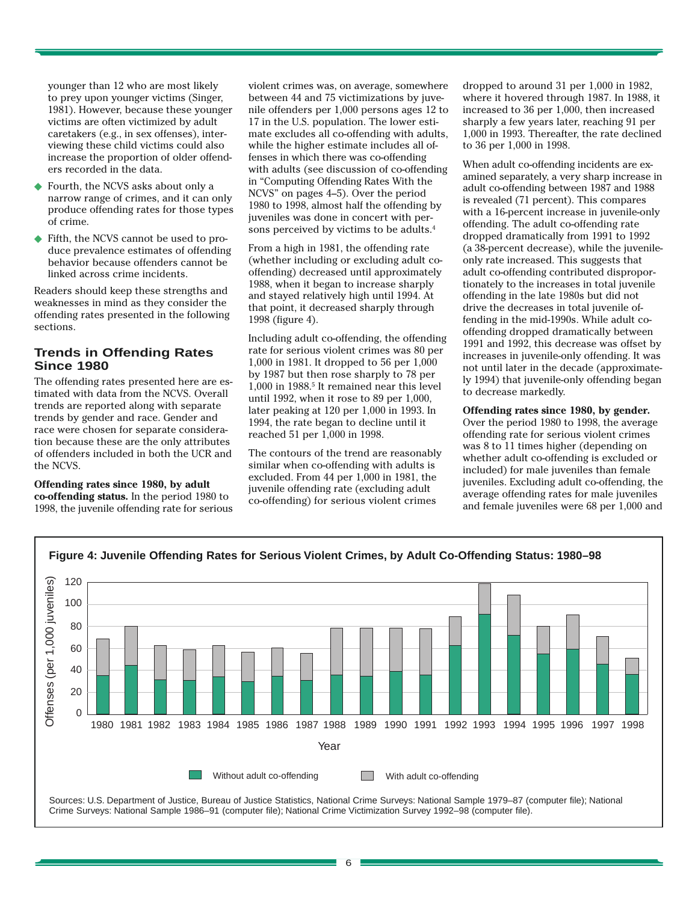younger than 12 who are most likely to prey upon younger victims (Singer, 1981). However, because these younger victims are often victimized by adult caretakers (e.g., in sex offenses), interviewing these child victims could also increase the proportion of older offenders recorded in the data.

- Fourth, the NCVS asks about only a narrow range of crimes, and it can only produce offending rates for those types of crime.
- ◆ Fifth, the NCVS cannot be used to produce prevalence estimates of offending behavior because offenders cannot be linked across crime incidents.

Readers should keep these strengths and weaknesses in mind as they consider the offending rates presented in the following sections.

## **Trends in Offending Rates Since 1980**

The offending rates presented here are estimated with data from the NCVS. Overall trends are reported along with separate trends by gender and race. Gender and race were chosen for separate consideration because these are the only attributes of offenders included in both the UCR and the NCVS.

#### **Offending rates since 1980, by adult co-offending status.** In the period 1980 to 1998, the juvenile offending rate for serious

violent crimes was, on average, somewhere between 44 and 75 victimizations by juvenile offenders per 1,000 persons ages 12 to 17 in the U.S. population. The lower estimate excludes all co-offending with adults, while the higher estimate includes all offenses in which there was co-offending with adults (see discussion of co-offending in "Computing Offending Rates With the NCVS" on pages 4–5). Over the period 1980 to 1998, almost half the offending by juveniles was done in concert with persons perceived by victims to be adults.4

From a high in 1981, the offending rate (whether including or excluding adult cooffending) decreased until approximately 1988, when it began to increase sharply and stayed relatively high until 1994. At that point, it decreased sharply through 1998 (figure 4).

Including adult co-offending, the offending rate for serious violent crimes was 80 per 1,000 in 1981. It dropped to 56 per 1,000 by 1987 but then rose sharply to 78 per 1,000 in 1988.5 It remained near this level until 1992, when it rose to 89 per 1,000, later peaking at 120 per 1,000 in 1993. In 1994, the rate began to decline until it reached 51 per 1,000 in 1998.

The contours of the trend are reasonably similar when co-offending with adults is excluded. From 44 per 1,000 in 1981, the juvenile offending rate (excluding adult co-offending) for serious violent crimes

dropped to around 31 per 1,000 in 1982, where it hovered through 1987. In 1988, it increased to 36 per 1,000, then increased sharply a few years later, reaching 91 per 1,000 in 1993. Thereafter, the rate declined to 36 per 1,000 in 1998.

When adult co-offending incidents are examined separately, a very sharp increase in adult co-offending between 1987 and 1988 is revealed (71 percent). This compares with a 16-percent increase in juvenile-only offending. The adult co-offending rate dropped dramatically from 1991 to 1992 (a 38-percent decrease), while the juvenileonly rate increased. This suggests that adult co-offending contributed disproportionately to the increases in total juvenile offending in the late 1980s but did not drive the decreases in total juvenile offending in the mid-1990s. While adult cooffending dropped dramatically between 1991 and 1992, this decrease was offset by increases in juvenile-only offending. It was not until later in the decade (approximately 1994) that juvenile-only offending began to decrease markedly.

**Offending rates since 1980, by gender.** Over the period 1980 to 1998, the average offending rate for serious violent crimes was 8 to 11 times higher (depending on whether adult co-offending is excluded or included) for male juveniles than female juveniles. Excluding adult co-offending, the average offending rates for male juveniles and female juveniles were 68 per 1,000 and

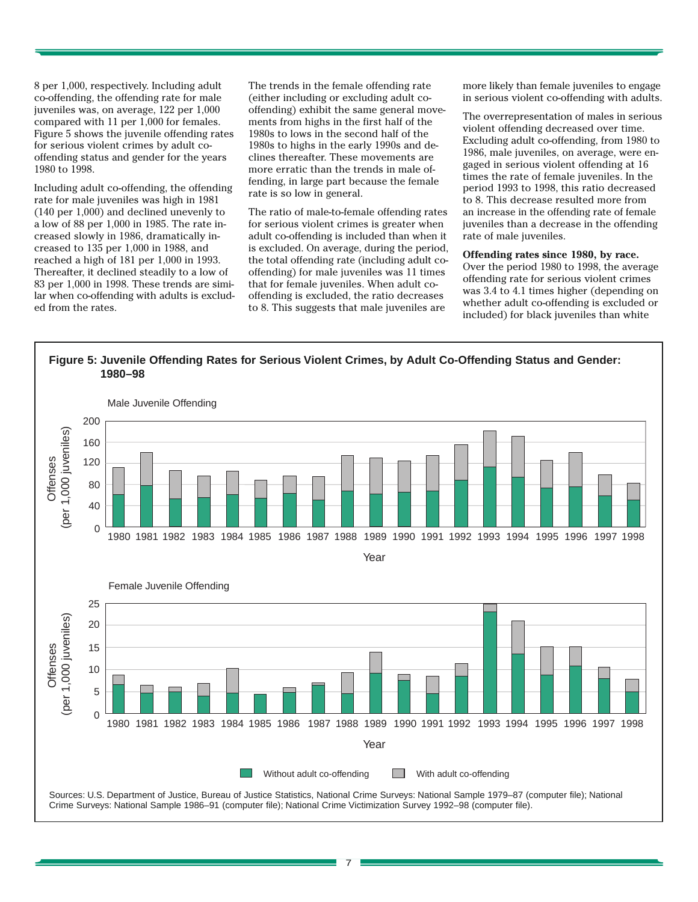8 per 1,000, respectively. Including adult co-offending, the offending rate for male juveniles was, on average, 122 per 1,000 compared with 11 per 1,000 for females. Figure 5 shows the juvenile offending rates for serious violent crimes by adult cooffending status and gender for the years 1980 to 1998.

Including adult co-offending, the offending rate for male juveniles was high in 1981 (140 per 1,000) and declined unevenly to a low of 88 per 1,000 in 1985. The rate increased slowly in 1986, dramatically increased to 135 per 1,000 in 1988, and reached a high of 181 per 1,000 in 1993. Thereafter, it declined steadily to a low of 83 per 1,000 in 1998. These trends are similar when co-offending with adults is excluded from the rates.

The trends in the female offending rate (either including or excluding adult cooffending) exhibit the same general movements from highs in the first half of the 1980s to lows in the second half of the 1980s to highs in the early 1990s and declines thereafter. These movements are more erratic than the trends in male offending, in large part because the female rate is so low in general.

The ratio of male-to-female offending rates for serious violent crimes is greater when adult co-offending is included than when it is excluded. On average, during the period, the total offending rate (including adult cooffending) for male juveniles was 11 times that for female juveniles. When adult cooffending is excluded, the ratio decreases to 8. This suggests that male juveniles are

more likely than female juveniles to engage in serious violent co-offending with adults.

The overrepresentation of males in serious violent offending decreased over time. Excluding adult co-offending, from 1980 to 1986, male juveniles, on average, were engaged in serious violent offending at 16 times the rate of female juveniles. In the period 1993 to 1998, this ratio decreased to 8. This decrease resulted more from an increase in the offending rate of female juveniles than a decrease in the offending rate of male juveniles.

#### **Offending rates since 1980, by race.**

Over the period 1980 to 1998, the average offending rate for serious violent crimes was 3.4 to 4.1 times higher (depending on whether adult co-offending is excluded or included) for black juveniles than white



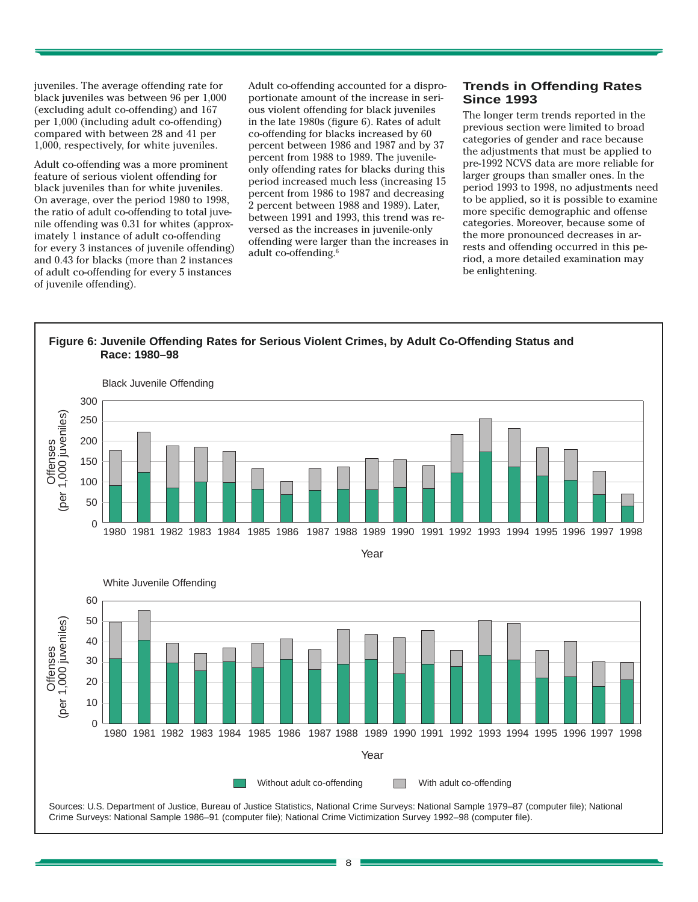juveniles. The average offending rate for black juveniles was between 96 per 1,000 (excluding adult co-offending) and 167 per 1,000 (including adult co-offending) compared with between 28 and 41 per 1,000, respectively, for white juveniles.

Adult co-offending was a more prominent feature of serious violent offending for black juveniles than for white juveniles. On average, over the period 1980 to 1998, the ratio of adult co-offending to total juvenile offending was 0.31 for whites (approximately 1 instance of adult co-offending for every 3 instances of juvenile offending) and 0.43 for blacks (more than 2 instances of adult co-offending for every 5 instances of juvenile offending).

Adult co-offending accounted for a disproportionate amount of the increase in serious violent offending for black juveniles in the late 1980s (figure 6). Rates of adult co-offending for blacks increased by 60 percent between 1986 and 1987 and by 37 percent from 1988 to 1989. The juvenileonly offending rates for blacks during this period increased much less (increasing 15 percent from 1986 to 1987 and decreasing 2 percent between 1988 and 1989). Later, between 1991 and 1993, this trend was reversed as the increases in juvenile-only offending were larger than the increases in adult co-offending.6

## **Trends in Offending Rates Since 1993**

The longer term trends reported in the previous section were limited to broad categories of gender and race because the adjustments that must be applied to pre-1992 NCVS data are more reliable for larger groups than smaller ones. In the period 1993 to 1998, no adjustments need to be applied, so it is possible to examine more specific demographic and offense categories. Moreover, because some of the more pronounced decreases in arrests and offending occurred in this period, a more detailed examination may be enlightening.



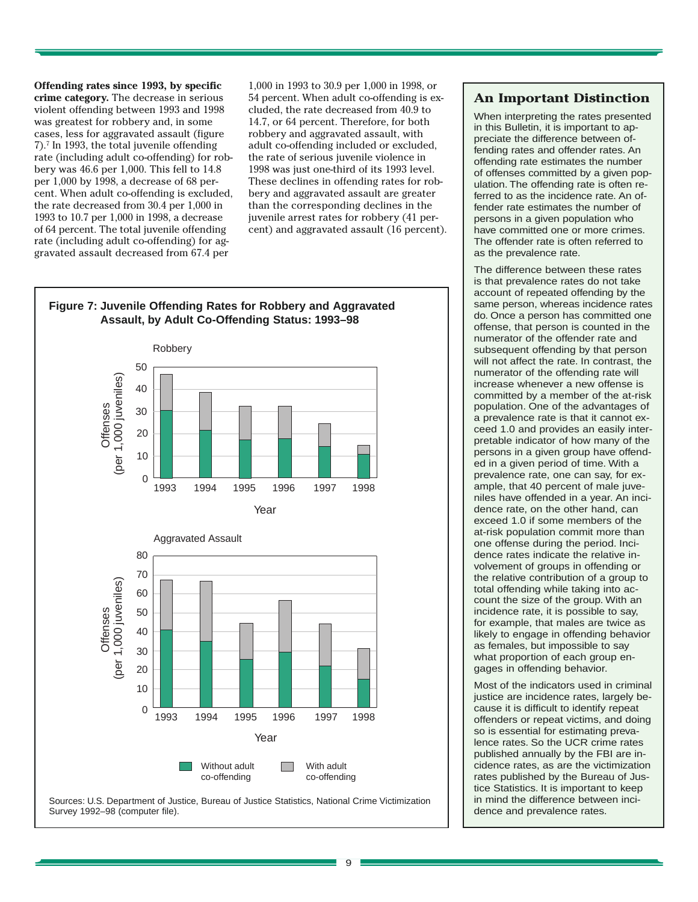**Offending rates since 1993, by specific crime category.** The decrease in serious violent offending between 1993 and 1998 was greatest for robbery and, in some cases, less for aggravated assault (figure 7).7 In 1993, the total juvenile offending rate (including adult co-offending) for robbery was 46.6 per 1,000. This fell to 14.8 per 1,000 by 1998, a decrease of 68 percent. When adult co-offending is excluded, the rate decreased from 30.4 per 1,000 in 1993 to 10.7 per 1,000 in 1998, a decrease of 64 percent. The total juvenile offending rate (including adult co-offending) for aggravated assault decreased from 67.4 per

1,000 in 1993 to 30.9 per 1,000 in 1998, or 54 percent. When adult co-offending is excluded, the rate decreased from 40.9 to 14.7, or 64 percent. Therefore, for both robbery and aggravated assault, with adult co-offending included or excluded, the rate of serious juvenile violence in 1998 was just one-third of its 1993 level. These declines in offending rates for robbery and aggravated assault are greater than the corresponding declines in the juvenile arrest rates for robbery (41 percent) and aggravated assault (16 percent).



# **Figure 7: Juvenile Offending Rates for Robbery and Aggravated**

#### Sources: U.S. Department of Justice, Bureau of Justice Statistics, National Crime Victimization Survey 1992–98 (computer file).

## **An Important Distinction**

When interpreting the rates presented in this Bulletin, it is important to appreciate the difference between offending rates and offender rates. An offending rate estimates the number of offenses committed by a given population. The offending rate is often referred to as the incidence rate. An offender rate estimates the number of persons in a given population who have committed one or more crimes. The offender rate is often referred to as the prevalence rate.

The difference between these rates is that prevalence rates do not take account of repeated offending by the same person, whereas incidence rates do. Once a person has committed one offense, that person is counted in the numerator of the offender rate and subsequent offending by that person will not affect the rate. In contrast, the numerator of the offending rate will increase whenever a new offense is committed by a member of the at-risk population. One of the advantages of a prevalence rate is that it cannot exceed 1.0 and provides an easily interpretable indicator of how many of the persons in a given group have offended in a given period of time. With a prevalence rate, one can say, for example, that 40 percent of male juveniles have offended in a year. An incidence rate, on the other hand, can exceed 1.0 if some members of the at-risk population commit more than one offense during the period. Incidence rates indicate the relative involvement of groups in offending or the relative contribution of a group to total offending while taking into account the size of the group. With an incidence rate, it is possible to say, for example, that males are twice as likely to engage in offending behavior as females, but impossible to say what proportion of each group engages in offending behavior.

Most of the indicators used in criminal justice are incidence rates, largely because it is difficult to identify repeat offenders or repeat victims, and doing so is essential for estimating prevalence rates. So the UCR crime rates published annually by the FBI are incidence rates, as are the victimization rates published by the Bureau of Justice Statistics. It is important to keep in mind the difference between incidence and prevalence rates.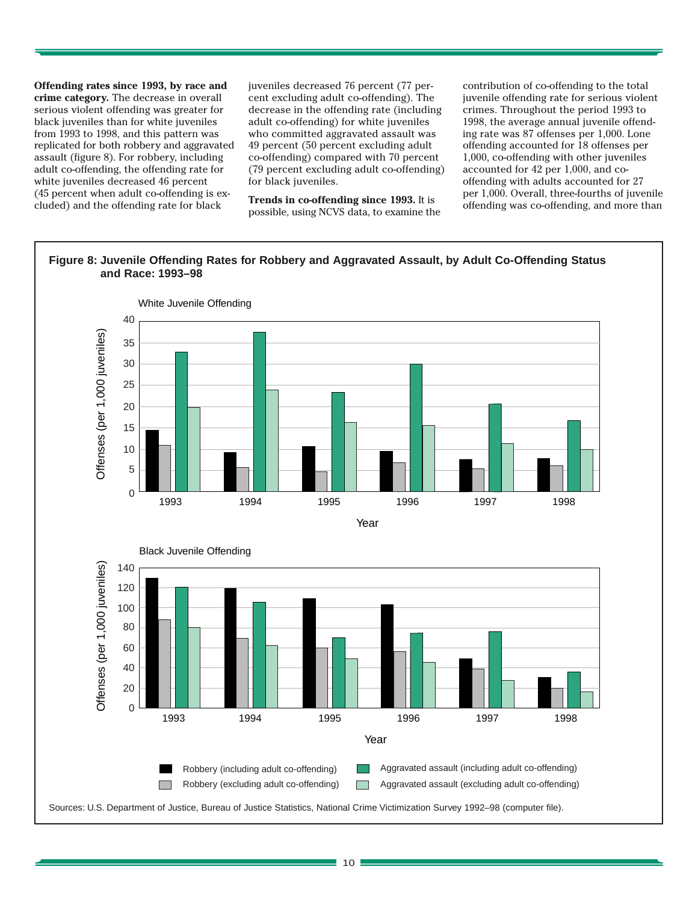**Offending rates since 1993, by race and crime category.** The decrease in overall serious violent offending was greater for black juveniles than for white juveniles from 1993 to 1998, and this pattern was replicated for both robbery and aggravated assault (figure 8). For robbery, including adult co-offending, the offending rate for white juveniles decreased 46 percent (45 percent when adult co-offending is excluded) and the offending rate for black

juveniles decreased 76 percent (77 percent excluding adult co-offending). The decrease in the offending rate (including adult co-offending) for white juveniles who committed aggravated assault was 49 percent (50 percent excluding adult co-offending) compared with 70 percent (79 percent excluding adult co-offending) for black juveniles.

**Trends in co-offending since 1993.** It is possible, using NCVS data, to examine the contribution of co-offending to the total juvenile offending rate for serious violent crimes. Throughout the period 1993 to 1998, the average annual juvenile offending rate was 87 offenses per 1,000. Lone offending accounted for 18 offenses per 1,000, co-offending with other juveniles accounted for 42 per 1,000, and cooffending with adults accounted for 27 per 1,000. Overall, three-fourths of juvenile offending was co-offending, and more than

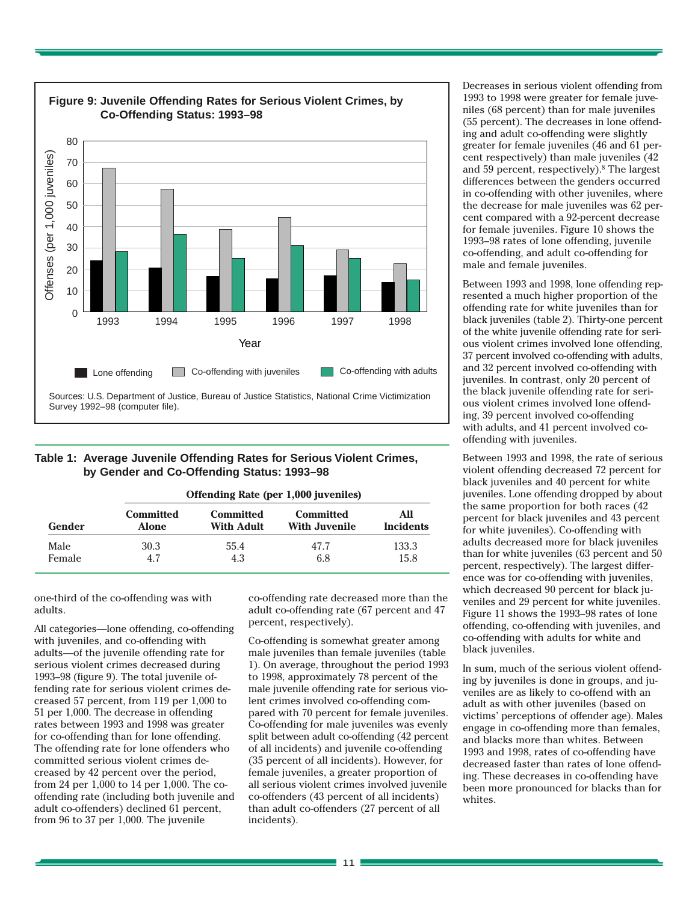

## **Table 1: Average Juvenile Offending Rates for Serious Violent Crimes, by Gender and Co-Offending Status: 1993–98**

| Gender | Offending Rate (per 1,000 juveniles) |                         |                                          |                         |  |
|--------|--------------------------------------|-------------------------|------------------------------------------|-------------------------|--|
|        | <b>Committed</b><br>Alone            | Committed<br>With Adult | <b>Committed</b><br><b>With Juvenile</b> | All<br><b>Incidents</b> |  |
| Male   | 30.3                                 | 55.4                    | 47.7                                     | 133.3                   |  |
| Female | 4.7                                  | 4.3                     | 6.8                                      | 15.8                    |  |

one-third of the co-offending was with adults.

All categories—lone offending, co-offending with juveniles, and co-offending with adults—of the juvenile offending rate for serious violent crimes decreased during 1993–98 (figure 9). The total juvenile offending rate for serious violent crimes decreased 57 percent, from 119 per 1,000 to 51 per 1,000. The decrease in offending rates between 1993 and 1998 was greater for co-offending than for lone offending. The offending rate for lone offenders who committed serious violent crimes decreased by 42 percent over the period, from 24 per 1,000 to 14 per 1,000. The cooffending rate (including both juvenile and adult co-offenders) declined 61 percent, from 96 to 37 per 1,000. The juvenile

co-offending rate decreased more than the adult co-offending rate (67 percent and 47 percent, respectively).

Co-offending is somewhat greater among male juveniles than female juveniles (table 1). On average, throughout the period 1993 to 1998, approximately 78 percent of the male juvenile offending rate for serious violent crimes involved co-offending compared with 70 percent for female juveniles. Co-offending for male juveniles was evenly split between adult co-offending (42 percent of all incidents) and juvenile co-offending (35 percent of all incidents). However, for female juveniles, a greater proportion of all serious violent crimes involved juvenile co-offenders (43 percent of all incidents) than adult co-offenders (27 percent of all incidents).

Decreases in serious violent offending from 1993 to 1998 were greater for female juveniles (68 percent) than for male juveniles (55 percent). The decreases in lone offending and adult co-offending were slightly greater for female juveniles (46 and 61 percent respectively) than male juveniles (42 and 59 percent, respectively).<sup>8</sup> The largest differences between the genders occurred in co-offending with other juveniles, where the decrease for male juveniles was 62 percent compared with a 92-percent decrease for female juveniles. Figure 10 shows the 1993–98 rates of lone offending, juvenile co-offending, and adult co-offending for male and female juveniles.

Between 1993 and 1998, lone offending represented a much higher proportion of the offending rate for white juveniles than for black juveniles (table 2). Thirty-one percent of the white juvenile offending rate for serious violent crimes involved lone offending, 37 percent involved co-offending with adults, and 32 percent involved co-offending with juveniles. In contrast, only 20 percent of the black juvenile offending rate for serious violent crimes involved lone offending, 39 percent involved co-offending with adults, and 41 percent involved cooffending with juveniles.

Between 1993 and 1998, the rate of serious violent offending decreased 72 percent for black juveniles and 40 percent for white juveniles. Lone offending dropped by about the same proportion for both races (42 percent for black juveniles and 43 percent for white juveniles). Co-offending with adults decreased more for black juveniles than for white juveniles (63 percent and 50 percent, respectively). The largest difference was for co-offending with juveniles, which decreased 90 percent for black juveniles and 29 percent for white juveniles. Figure 11 shows the 1993–98 rates of lone offending, co-offending with juveniles, and co-offending with adults for white and black juveniles.

In sum, much of the serious violent offending by juveniles is done in groups, and juveniles are as likely to co-offend with an adult as with other juveniles (based on victims' perceptions of offender age). Males engage in co-offending more than females, and blacks more than whites. Between 1993 and 1998, rates of co-offending have decreased faster than rates of lone offending. These decreases in co-offending have been more pronounced for blacks than for whites.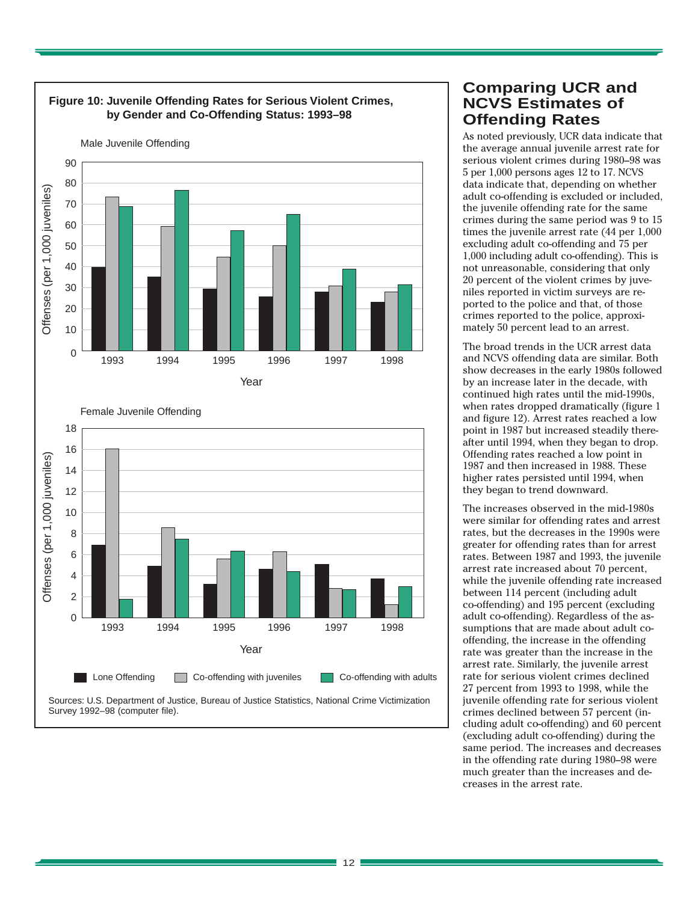

# **Comparing UCR and NCVS Estimates of Offending Rates**

As noted previously, UCR data indicate that the average annual juvenile arrest rate for serious violent crimes during 1980–98 was 5 per 1,000 persons ages 12 to 17. NCVS data indicate that, depending on whether adult co-offending is excluded or included, the juvenile offending rate for the same crimes during the same period was 9 to 15 times the juvenile arrest rate (44 per 1,000 excluding adult co-offending and 75 per 1,000 including adult co-offending). This is not unreasonable, considering that only 20 percent of the violent crimes by juveniles reported in victim surveys are reported to the police and that, of those crimes reported to the police, approximately 50 percent lead to an arrest.

The broad trends in the UCR arrest data and NCVS offending data are similar. Both show decreases in the early 1980s followed by an increase later in the decade, with continued high rates until the mid-1990s, when rates dropped dramatically (figure 1 and figure 12). Arrest rates reached a low point in 1987 but increased steadily thereafter until 1994, when they began to drop. Offending rates reached a low point in 1987 and then increased in 1988. These higher rates persisted until 1994, when they began to trend downward.

The increases observed in the mid-1980s were similar for offending rates and arrest rates, but the decreases in the 1990s were greater for offending rates than for arrest rates. Between 1987 and 1993, the juvenile arrest rate increased about 70 percent, while the juvenile offending rate increased between 114 percent (including adult co-offending) and 195 percent (excluding adult co-offending). Regardless of the assumptions that are made about adult cooffending, the increase in the offending rate was greater than the increase in the arrest rate. Similarly, the juvenile arrest rate for serious violent crimes declined 27 percent from 1993 to 1998, while the juvenile offending rate for serious violent crimes declined between 57 percent (including adult co-offending) and 60 percent (excluding adult co-offending) during the same period. The increases and decreases in the offending rate during 1980–98 were much greater than the increases and decreases in the arrest rate.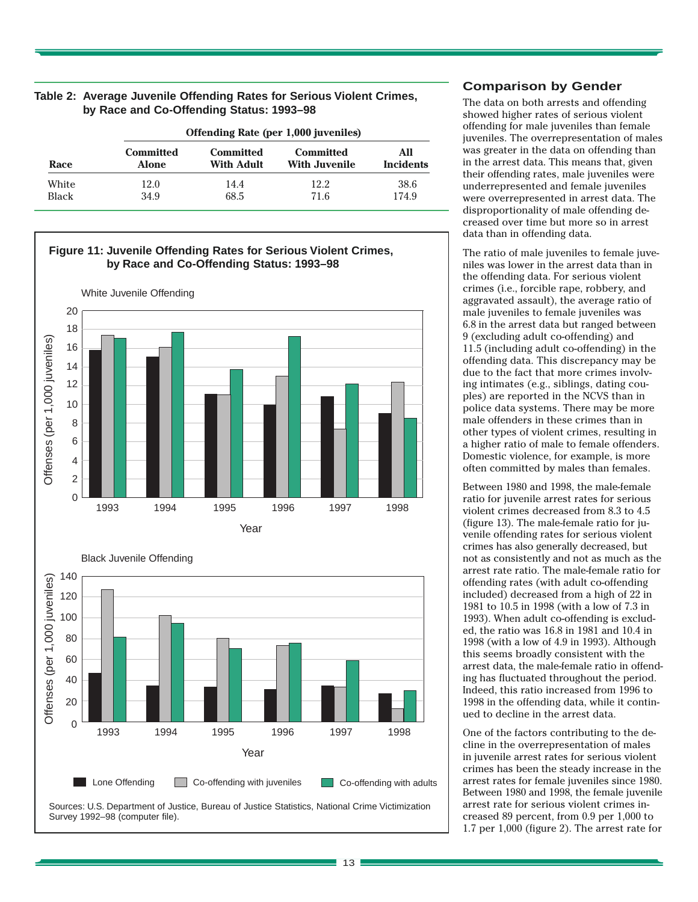| Race                  | <b>Offending Rate (per 1,000 juveniles)</b> |                                |                                          |                         |  |
|-----------------------|---------------------------------------------|--------------------------------|------------------------------------------|-------------------------|--|
|                       | <b>Committed</b><br><b>Alone</b>            | <b>Committed</b><br>With Adult | <b>Committed</b><br><b>With Juvenile</b> | All<br><b>Incidents</b> |  |
| White<br><b>Black</b> | 12.0<br>34.9                                | 14.4<br>68.5                   | 12.2<br>71.6                             | 38.6<br>174.9           |  |

## **Table 2: Average Juvenile Offending Rates for Serious Violent Crimes, by Race and Co-Offending Status: 1993–98**









Sources: U.S. Department of Justice, Bureau of Justice Statistics, National Crime Victimization Survey 1992–98 (computer file).

## **Comparison by Gender**

The data on both arrests and offending showed higher rates of serious violent offending for male juveniles than female juveniles. The overrepresentation of males was greater in the data on offending than in the arrest data. This means that, given their offending rates, male juveniles were underrepresented and female juveniles were overrepresented in arrest data. The disproportionality of male offending decreased over time but more so in arrest data than in offending data.

The ratio of male juveniles to female juveniles was lower in the arrest data than in the offending data. For serious violent crimes (i.e., forcible rape, robbery, and aggravated assault), the average ratio of male juveniles to female juveniles was 6.8 in the arrest data but ranged between 9 (excluding adult co-offending) and 11.5 (including adult co-offending) in the offending data. This discrepancy may be due to the fact that more crimes involving intimates (e.g., siblings, dating couples) are reported in the NCVS than in police data systems. There may be more male offenders in these crimes than in other types of violent crimes, resulting in a higher ratio of male to female offenders. Domestic violence, for example, is more often committed by males than females.

Between 1980 and 1998, the male-female ratio for juvenile arrest rates for serious violent crimes decreased from 8.3 to 4.5 (figure 13). The male-female ratio for juvenile offending rates for serious violent crimes has also generally decreased, but not as consistently and not as much as the arrest rate ratio. The male-female ratio for offending rates (with adult co-offending included) decreased from a high of 22 in 1981 to 10.5 in 1998 (with a low of 7.3 in 1993). When adult co-offending is excluded, the ratio was 16.8 in 1981 and 10.4 in 1998 (with a low of 4.9 in 1993). Although this seems broadly consistent with the arrest data, the male-female ratio in offending has fluctuated throughout the period. Indeed, this ratio increased from 1996 to 1998 in the offending data, while it continued to decline in the arrest data.

One of the factors contributing to the decline in the overrepresentation of males in juvenile arrest rates for serious violent crimes has been the steady increase in the arrest rates for female juveniles since 1980. Between 1980 and 1998, the female juvenile arrest rate for serious violent crimes increased 89 percent, from 0.9 per 1,000 to 1.7 per 1,000 (figure 2). The arrest rate for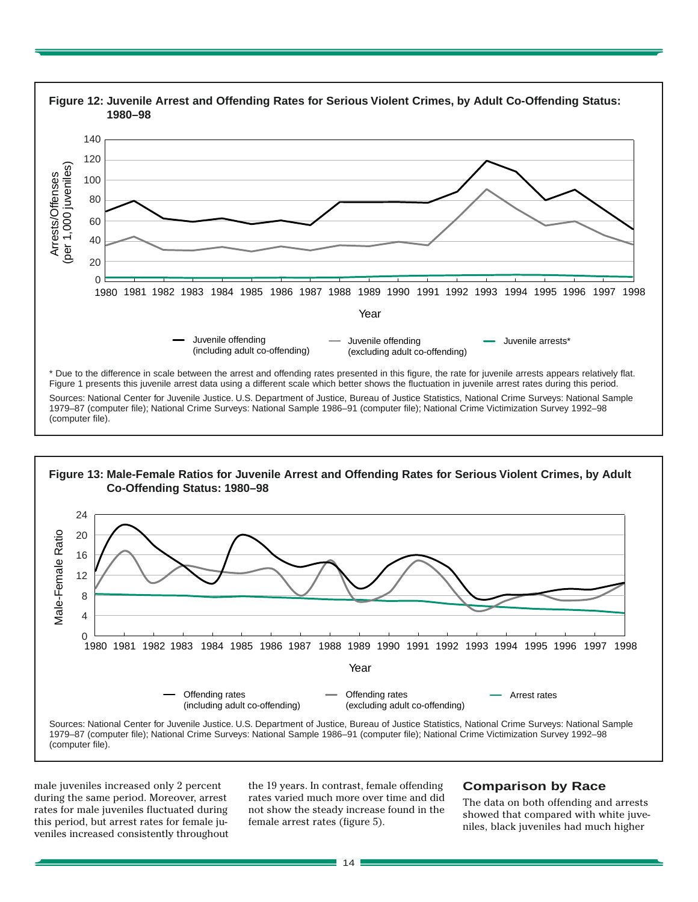

1979–87 (computer file); National Crime Surveys: National Sample 1986–91 (computer file); National Crime Victimization Survey 1992–98 (computer file).



male juveniles increased only 2 percent during the same period. Moreover, arrest rates for male juveniles fluctuated during this period, but arrest rates for female juveniles increased consistently throughout the 19 years. In contrast, female offending rates varied much more over time and did not show the steady increase found in the female arrest rates (figure 5).

## **Comparison by Race**

The data on both offending and arrests showed that compared with white juveniles, black juveniles had much higher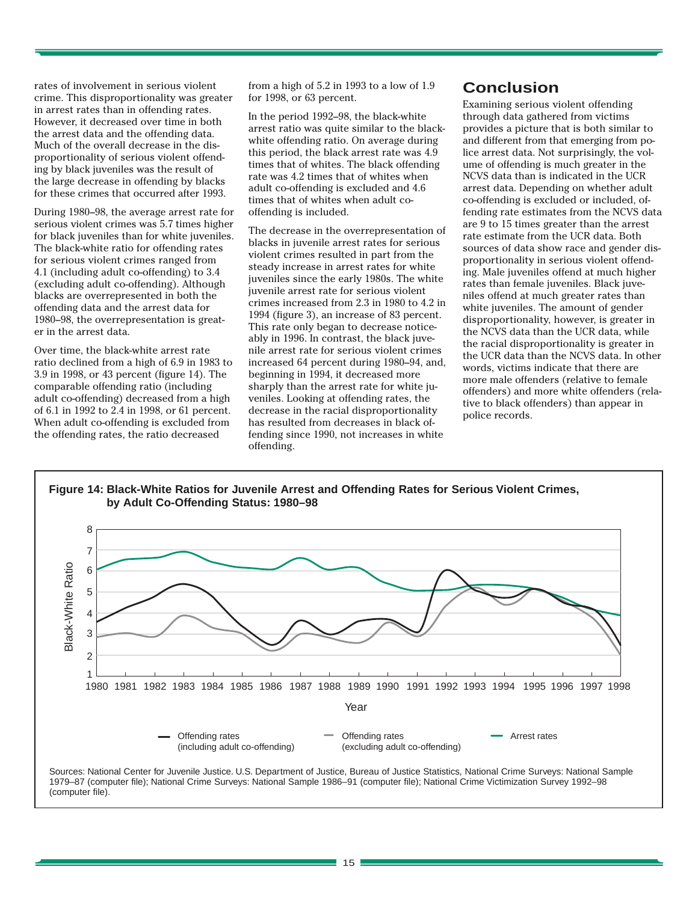rates of involvement in serious violent crime. This disproportionality was greater in arrest rates than in offending rates. However, it decreased over time in both the arrest data and the offending data. Much of the overall decrease in the disproportionality of serious violent offending by black juveniles was the result of the large decrease in offending by blacks for these crimes that occurred after 1993.

During 1980–98, the average arrest rate for serious violent crimes was 5.7 times higher for black juveniles than for white juveniles. The black-white ratio for offending rates for serious violent crimes ranged from 4.1 (including adult co-offending) to 3.4 (excluding adult co-offending). Although blacks are overrepresented in both the offending data and the arrest data for 1980–98, the overrepresentation is greater in the arrest data.

Over time, the black-white arrest rate ratio declined from a high of 6.9 in 1983 to 3.9 in 1998, or 43 percent (figure 14). The comparable offending ratio (including adult co-offending) decreased from a high of 6.1 in 1992 to 2.4 in 1998, or 61 percent. When adult co-offending is excluded from the offending rates, the ratio decreased

from a high of 5.2 in 1993 to a low of 1.9 for 1998, or 63 percent.

In the period 1992–98, the black-white arrest ratio was quite similar to the blackwhite offending ratio. On average during this period, the black arrest rate was 4.9 times that of whites. The black offending rate was 4.2 times that of whites when adult co-offending is excluded and 4.6 times that of whites when adult cooffending is included.

The decrease in the overrepresentation of blacks in juvenile arrest rates for serious violent crimes resulted in part from the steady increase in arrest rates for white juveniles since the early 1980s. The white juvenile arrest rate for serious violent crimes increased from 2.3 in 1980 to 4.2 in 1994 (figure 3), an increase of 83 percent. This rate only began to decrease noticeably in 1996. In contrast, the black juvenile arrest rate for serious violent crimes increased 64 percent during 1980–94, and, beginning in 1994, it decreased more sharply than the arrest rate for white juveniles. Looking at offending rates, the decrease in the racial disproportionality has resulted from decreases in black offending since 1990, not increases in white offending.

# **Conclusion**

Examining serious violent offending through data gathered from victims provides a picture that is both similar to and different from that emerging from police arrest data. Not surprisingly, the volume of offending is much greater in the NCVS data than is indicated in the UCR arrest data. Depending on whether adult co-offending is excluded or included, offending rate estimates from the NCVS data are 9 to 15 times greater than the arrest rate estimate from the UCR data. Both sources of data show race and gender disproportionality in serious violent offending. Male juveniles offend at much higher rates than female juveniles. Black juveniles offend at much greater rates than white juveniles. The amount of gender disproportionality, however, is greater in the NCVS data than the UCR data, while the racial disproportionality is greater in the UCR data than the NCVS data. In other words, victims indicate that there are more male offenders (relative to female offenders) and more white offenders (relative to black offenders) than appear in police records.





1979–87 (computer file); National Crime Surveys: National Sample 1986–91 (computer file); National Crime Victimization Survey 1992–98 (computer file).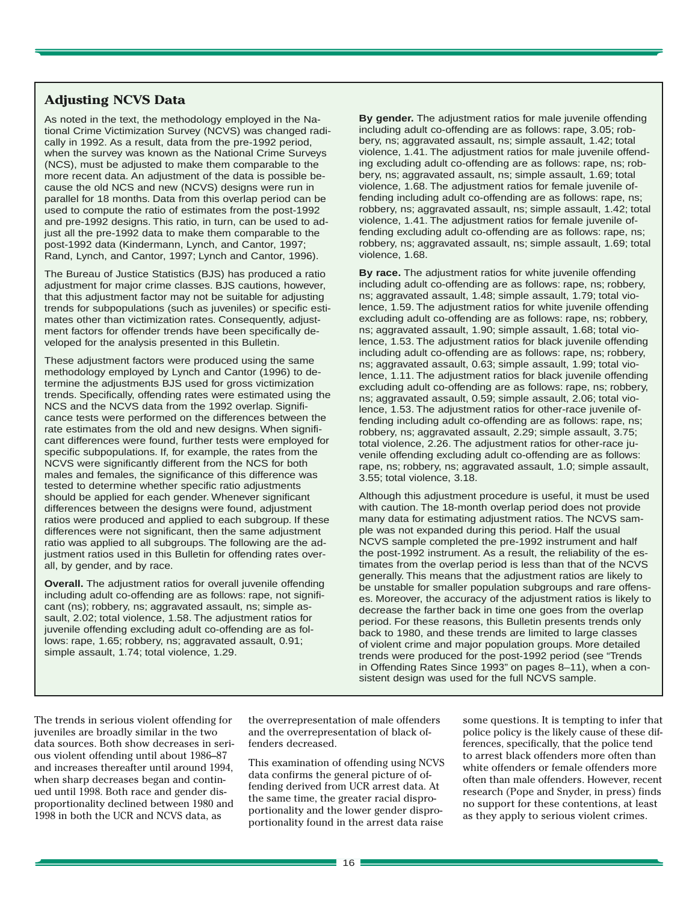# **Adjusting NCVS Data**

As noted in the text, the methodology employed in the National Crime Victimization Survey (NCVS) was changed radically in 1992. As a result, data from the pre-1992 period, when the survey was known as the National Crime Surveys (NCS), must be adjusted to make them comparable to the more recent data. An adjustment of the data is possible because the old NCS and new (NCVS) designs were run in parallel for 18 months. Data from this overlap period can be used to compute the ratio of estimates from the post-1992 and pre-1992 designs. This ratio, in turn, can be used to adjust all the pre-1992 data to make them comparable to the post-1992 data (Kindermann, Lynch, and Cantor, 1997; Rand, Lynch, and Cantor, 1997; Lynch and Cantor, 1996).

The Bureau of Justice Statistics (BJS) has produced a ratio adjustment for major crime classes. BJS cautions, however, that this adjustment factor may not be suitable for adjusting trends for subpopulations (such as juveniles) or specific estimates other than victimization rates. Consequently, adjustment factors for offender trends have been specifically developed for the analysis presented in this Bulletin.

These adjustment factors were produced using the same methodology employed by Lynch and Cantor (1996) to determine the adjustments BJS used for gross victimization trends. Specifically, offending rates were estimated using the NCS and the NCVS data from the 1992 overlap. Significance tests were performed on the differences between the rate estimates from the old and new designs. When significant differences were found, further tests were employed for specific subpopulations. If, for example, the rates from the NCVS were significantly different from the NCS for both males and females, the significance of this difference was tested to determine whether specific ratio adjustments should be applied for each gender. Whenever significant differences between the designs were found, adjustment ratios were produced and applied to each subgroup. If these differences were not significant, then the same adjustment ratio was applied to all subgroups. The following are the adjustment ratios used in this Bulletin for offending rates overall, by gender, and by race.

**Overall.** The adjustment ratios for overall juvenile offending including adult co-offending are as follows: rape, not significant (ns); robbery, ns; aggravated assault, ns; simple assault, 2.02; total violence, 1.58. The adjustment ratios for juvenile offending excluding adult co-offending are as follows: rape, 1.65; robbery, ns; aggravated assault, 0.91; simple assault, 1.74; total violence, 1.29.

**By gender.** The adjustment ratios for male juvenile offending including adult co-offending are as follows: rape, 3.05; robbery, ns; aggravated assault, ns; simple assault, 1.42; total violence, 1.41. The adjustment ratios for male juvenile offending excluding adult co-offending are as follows: rape, ns; robbery, ns; aggravated assault, ns; simple assault, 1.69; total violence, 1.68. The adjustment ratios for female juvenile offending including adult co-offending are as follows: rape, ns; robbery, ns; aggravated assault, ns; simple assault, 1.42; total violence, 1.41. The adjustment ratios for female juvenile offending excluding adult co-offending are as follows: rape, ns; robbery, ns; aggravated assault, ns; simple assault, 1.69; total violence, 1.68.

**By race.** The adjustment ratios for white juvenile offending including adult co-offending are as follows: rape, ns; robbery, ns; aggravated assault, 1.48; simple assault, 1.79; total violence, 1.59. The adjustment ratios for white juvenile offending excluding adult co-offending are as follows: rape, ns; robbery, ns; aggravated assault, 1.90; simple assault, 1.68; total violence, 1.53. The adjustment ratios for black juvenile offending including adult co-offending are as follows: rape, ns; robbery, ns; aggravated assault, 0.63; simple assault, 1.99; total violence, 1.11. The adjustment ratios for black juvenile offending excluding adult co-offending are as follows: rape, ns; robbery, ns; aggravated assault, 0.59; simple assault, 2.06; total violence, 1.53. The adjustment ratios for other-race juvenile offending including adult co-offending are as follows: rape, ns; robbery, ns; aggravated assault, 2.29; simple assault, 3.75; total violence, 2.26. The adjustment ratios for other-race juvenile offending excluding adult co-offending are as follows: rape, ns; robbery, ns; aggravated assault, 1.0; simple assault, 3.55; total violence, 3.18.

Although this adjustment procedure is useful, it must be used with caution. The 18-month overlap period does not provide many data for estimating adjustment ratios. The NCVS sample was not expanded during this period. Half the usual NCVS sample completed the pre-1992 instrument and half the post-1992 instrument. As a result, the reliability of the estimates from the overlap period is less than that of the NCVS generally. This means that the adjustment ratios are likely to be unstable for smaller population subgroups and rare offenses. Moreover, the accuracy of the adjustment ratios is likely to decrease the farther back in time one goes from the overlap period. For these reasons, this Bulletin presents trends only back to 1980, and these trends are limited to large classes of violent crime and major population groups. More detailed trends were produced for the post-1992 period (see "Trends in Offending Rates Since 1993" on pages 8–11), when a consistent design was used for the full NCVS sample.

The trends in serious violent offending for juveniles are broadly similar in the two data sources. Both show decreases in serious violent offending until about 1986–87 and increases thereafter until around 1994, when sharp decreases began and continued until 1998. Both race and gender disproportionality declined between 1980 and 1998 in both the UCR and NCVS data, as

the overrepresentation of male offenders and the overrepresentation of black offenders decreased.

This examination of offending using NCVS data confirms the general picture of offending derived from UCR arrest data. At the same time, the greater racial disproportionality and the lower gender disproportionality found in the arrest data raise

some questions. It is tempting to infer that police policy is the likely cause of these differences, specifically, that the police tend to arrest black offenders more often than white offenders or female offenders more often than male offenders. However, recent research (Pope and Snyder, in press) finds no support for these contentions, at least as they apply to serious violent crimes.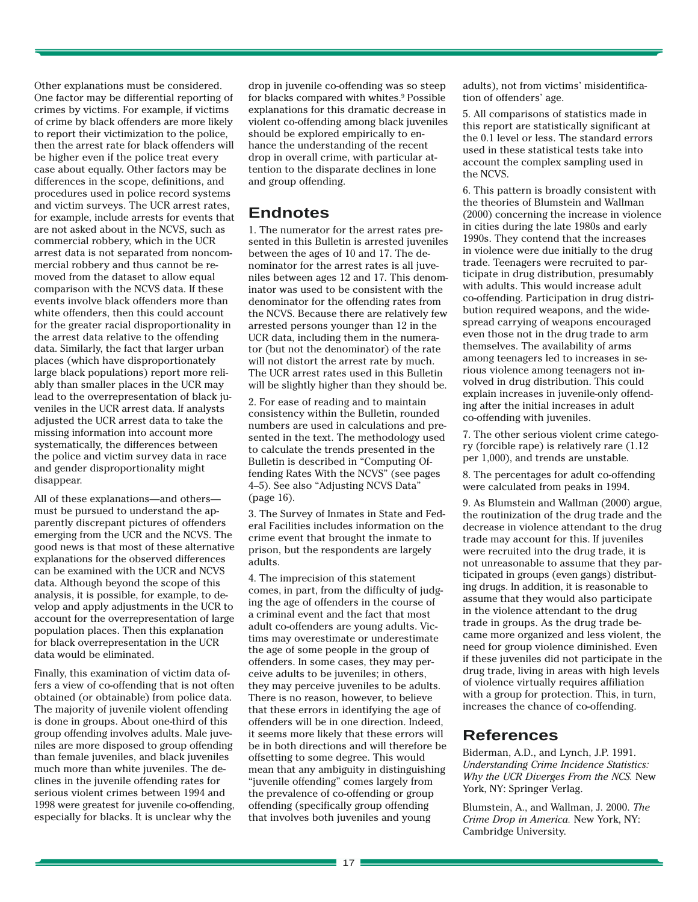Other explanations must be considered. One factor may be differential reporting of crimes by victims. For example, if victims of crime by black offenders are more likely to report their victimization to the police, then the arrest rate for black offenders will be higher even if the police treat every case about equally. Other factors may be differences in the scope, definitions, and procedures used in police record systems and victim surveys. The UCR arrest rates, for example, include arrests for events that are not asked about in the NCVS, such as commercial robbery, which in the UCR arrest data is not separated from noncommercial robbery and thus cannot be removed from the dataset to allow equal comparison with the NCVS data. If these events involve black offenders more than white offenders, then this could account for the greater racial disproportionality in the arrest data relative to the offending data. Similarly, the fact that larger urban places (which have disproportionately large black populations) report more reliably than smaller places in the UCR may lead to the overrepresentation of black juveniles in the UCR arrest data. If analysts adjusted the UCR arrest data to take the missing information into account more systematically, the differences between the police and victim survey data in race and gender disproportionality might disappear.

All of these explanations—and others must be pursued to understand the apparently discrepant pictures of offenders emerging from the UCR and the NCVS. The good news is that most of these alternative explanations for the observed differences can be examined with the UCR and NCVS data. Although beyond the scope of this analysis, it is possible, for example, to develop and apply adjustments in the UCR to account for the overrepresentation of large population places. Then this explanation for black overrepresentation in the UCR data would be eliminated.

Finally, this examination of victim data offers a view of co-offending that is not often obtained (or obtainable) from police data. The majority of juvenile violent offending is done in groups. About one-third of this group offending involves adults. Male juveniles are more disposed to group offending than female juveniles, and black juveniles much more than white juveniles. The declines in the juvenile offending rates for serious violent crimes between 1994 and 1998 were greatest for juvenile co-offending, especially for blacks. It is unclear why the

drop in juvenile co-offending was so steep for blacks compared with whites.<sup>9</sup> Possible explanations for this dramatic decrease in violent co-offending among black juveniles should be explored empirically to enhance the understanding of the recent drop in overall crime, with particular attention to the disparate declines in lone and group offending.

# **Endnotes**

1. The numerator for the arrest rates presented in this Bulletin is arrested juveniles between the ages of 10 and 17. The denominator for the arrest rates is all juveniles between ages 12 and 17. This denominator was used to be consistent with the denominator for the offending rates from the NCVS. Because there are relatively few arrested persons younger than 12 in the UCR data, including them in the numerator (but not the denominator) of the rate will not distort the arrest rate by much. The UCR arrest rates used in this Bulletin will be slightly higher than they should be.

2. For ease of reading and to maintain consistency within the Bulletin, rounded numbers are used in calculations and presented in the text. The methodology used to calculate the trends presented in the Bulletin is described in "Computing Offending Rates With the NCVS" (see pages 4–5). See also "Adjusting NCVS Data" (page 16).

3. The Survey of Inmates in State and Federal Facilities includes information on the crime event that brought the inmate to prison, but the respondents are largely adults.

4. The imprecision of this statement comes, in part, from the difficulty of judging the age of offenders in the course of a criminal event and the fact that most adult co-offenders are young adults. Victims may overestimate or underestimate the age of some people in the group of offenders. In some cases, they may perceive adults to be juveniles; in others, they may perceive juveniles to be adults. There is no reason, however, to believe that these errors in identifying the age of offenders will be in one direction. Indeed, it seems more likely that these errors will be in both directions and will therefore be offsetting to some degree. This would mean that any ambiguity in distinguishing "juvenile offending" comes largely from the prevalence of co-offending or group offending (specifically group offending that involves both juveniles and young

adults), not from victims' misidentification of offenders' age.

5. All comparisons of statistics made in this report are statistically significant at the 0.1 level or less. The standard errors used in these statistical tests take into account the complex sampling used in the NCVS.

6. This pattern is broadly consistent with the theories of Blumstein and Wallman (2000) concerning the increase in violence in cities during the late 1980s and early 1990s. They contend that the increases in violence were due initially to the drug trade. Teenagers were recruited to participate in drug distribution, presumably with adults. This would increase adult co-offending. Participation in drug distribution required weapons, and the widespread carrying of weapons encouraged even those not in the drug trade to arm themselves. The availability of arms among teenagers led to increases in serious violence among teenagers not involved in drug distribution. This could explain increases in juvenile-only offending after the initial increases in adult co-offending with juveniles.

7. The other serious violent crime category (forcible rape) is relatively rare (1.12 per 1,000), and trends are unstable.

8. The percentages for adult co-offending were calculated from peaks in 1994.

9. As Blumstein and Wallman (2000) argue, the routinization of the drug trade and the decrease in violence attendant to the drug trade may account for this. If juveniles were recruited into the drug trade, it is not unreasonable to assume that they participated in groups (even gangs) distributing drugs. In addition, it is reasonable to assume that they would also participate in the violence attendant to the drug trade in groups. As the drug trade became more organized and less violent, the need for group violence diminished. Even if these juveniles did not participate in the drug trade, living in areas with high levels of violence virtually requires affiliation with a group for protection. This, in turn, increases the chance of co-offending.

# **References**

Biderman, A.D., and Lynch, J.P. 1991. *Understanding Crime Incidence Statistics: Why the UCR Diverges From the NCS.* New York, NY: Springer Verlag.

Blumstein, A., and Wallman, J. 2000. *The Crime Drop in America.* New York, NY: Cambridge University.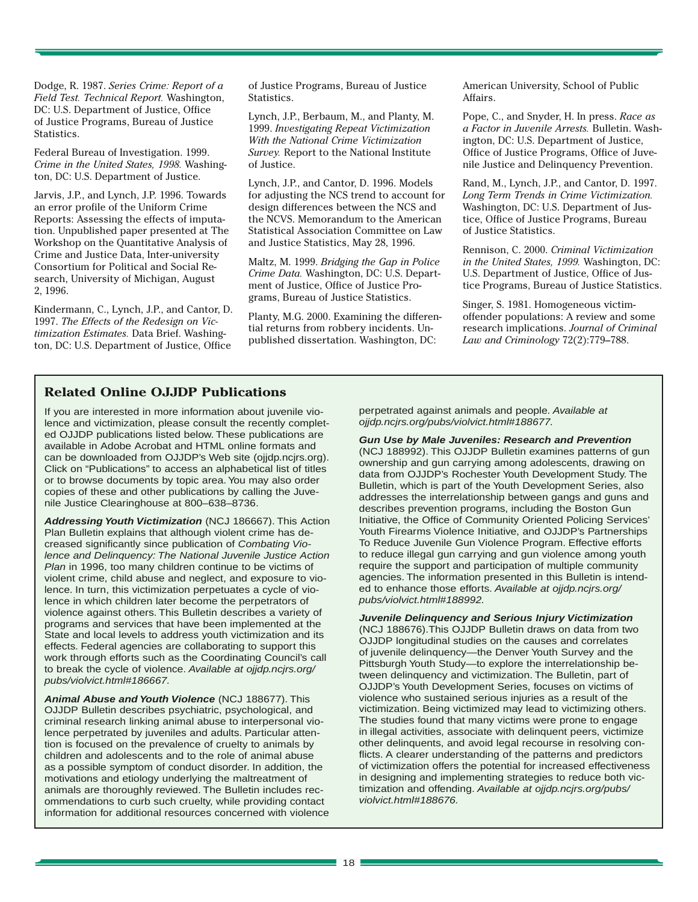Dodge, R. 1987. *Series Crime: Report of a Field Test. Technical Report.* Washington, DC: U.S. Department of Justice, Office of Justice Programs, Bureau of Justice Statistics.

Federal Bureau of Investigation. 1999. *Crime in the United States, 1998.* Washington, DC: U.S. Department of Justice.

Jarvis, J.P., and Lynch, J.P. 1996. Towards an error profile of the Uniform Crime Reports: Assessing the effects of imputation. Unpublished paper presented at The Workshop on the Quantitative Analysis of Crime and Justice Data, Inter-university Consortium for Political and Social Research, University of Michigan, August 2, 1996.

Kindermann, C., Lynch, J.P., and Cantor, D. 1997. *The Effects of the Redesign on Victimization Estimates.* Data Brief. Washington, DC: U.S. Department of Justice, Office

of Justice Programs, Bureau of Justice Statistics.

Lynch, J.P., Berbaum, M., and Planty, M. 1999. *Investigating Repeat Victimization With the National Crime Victimization Survey.* Report to the National Institute of Justice.

Lynch, J.P., and Cantor, D. 1996. Models for adjusting the NCS trend to account for design differences between the NCS and the NCVS. Memorandum to the American Statistical Association Committee on Law and Justice Statistics, May 28, 1996.

Maltz, M. 1999. *Bridging the Gap in Police Crime Data.* Washington, DC: U.S. Department of Justice, Office of Justice Programs, Bureau of Justice Statistics.

Planty, M.G. 2000. Examining the differential returns from robbery incidents. Unpublished dissertation. Washington, DC:

American University, School of Public Affairs.

Pope, C., and Snyder, H. In press. *Race as a Factor in Juvenile Arrests.* Bulletin. Washington, DC: U.S. Department of Justice, Office of Justice Programs, Office of Juvenile Justice and Delinquency Prevention.

Rand, M., Lynch, J.P., and Cantor, D. 1997. *Long Term Trends in Crime Victimization.* Washington, DC: U.S. Department of Justice, Office of Justice Programs, Bureau of Justice Statistics.

Rennison, C. 2000. *Criminal Victimization in the United States, 1999.* Washington, DC: U.S. Department of Justice, Office of Justice Programs, Bureau of Justice Statistics.

Singer, S. 1981. Homogeneous victimoffender populations: A review and some research implications. *Journal of Criminal Law and Criminology* 72(2):779–788.

## **Related Online OJJDP Publications**

If you are interested in more information about juvenile violence and victimization, please consult the recently completed OJJDP publications listed below. These publications are available in Adobe Acrobat and HTML online formats and can be downloaded from OJJDP's Web site (ojjdp.ncjrs.org). Click on "Publications" to access an alphabetical list of titles or to browse documents by topic area. You may also order copies of these and other publications by calling the Juvenile Justice Clearinghouse at 800–638–8736.

**Addressing Youth Victimization** (NCJ 186667). This Action Plan Bulletin explains that although violent crime has decreased significantly since publication of Combating Violence and Delinquency: The National Juvenile Justice Action Plan in 1996, too many children continue to be victims of violent crime, child abuse and neglect, and exposure to violence. In turn, this victimization perpetuates a cycle of violence in which children later become the perpetrators of violence against others. This Bulletin describes a variety of programs and services that have been implemented at the State and local levels to address youth victimization and its effects. Federal agencies are collaborating to support this work through efforts such as the Coordinating Council's call to break the cycle of violence. Available at ojjdp.ncjrs.org/ pubs/violvict.html#186667.

**Animal Abuse and Youth Violence** (NCJ 188677). This OJJDP Bulletin describes psychiatric, psychological, and criminal research linking animal abuse to interpersonal violence perpetrated by juveniles and adults. Particular attention is focused on the prevalence of cruelty to animals by children and adolescents and to the role of animal abuse as a possible symptom of conduct disorder. In addition, the motivations and etiology underlying the maltreatment of animals are thoroughly reviewed. The Bulletin includes recommendations to curb such cruelty, while providing contact information for additional resources concerned with violence perpetrated against animals and people. Available at ojjdp.ncjrs.org/pubs/violvict.html#188677.

**Gun Use by Male Juveniles: Research and Prevention** (NCJ 188992). This OJJDP Bulletin examines patterns of gun ownership and gun carrying among adolescents, drawing on data from OJJDP's Rochester Youth Development Study. The Bulletin, which is part of the Youth Development Series, also addresses the interrelationship between gangs and guns and describes prevention programs, including the Boston Gun Initiative, the Office of Community Oriented Policing Services' Youth Firearms Violence Initiative, and OJJDP's Partnerships To Reduce Juvenile Gun Violence Program. Effective efforts to reduce illegal gun carrying and gun violence among youth require the support and participation of multiple community agencies. The information presented in this Bulletin is intended to enhance those efforts. Available at ojjdp.ncjrs.org/ pubs/violvict.html#188992.

**Juvenile Delinquency and Serious Injury Victimization** (NCJ 188676).This OJJDP Bulletin draws on data from two OJJDP longitudinal studies on the causes and correlates of juvenile delinquency—the Denver Youth Survey and the Pittsburgh Youth Study—to explore the interrelationship between delinquency and victimization. The Bulletin, part of OJJDP's Youth Development Series, focuses on victims of violence who sustained serious injuries as a result of the victimization. Being victimized may lead to victimizing others. The studies found that many victims were prone to engage in illegal activities, associate with delinquent peers, victimize other delinquents, and avoid legal recourse in resolving conflicts. A clearer understanding of the patterns and predictors of victimization offers the potential for increased effectiveness in designing and implementing strategies to reduce both victimization and offending. Available at ojjdp.ncjrs.org/pubs/ violvict.html#188676.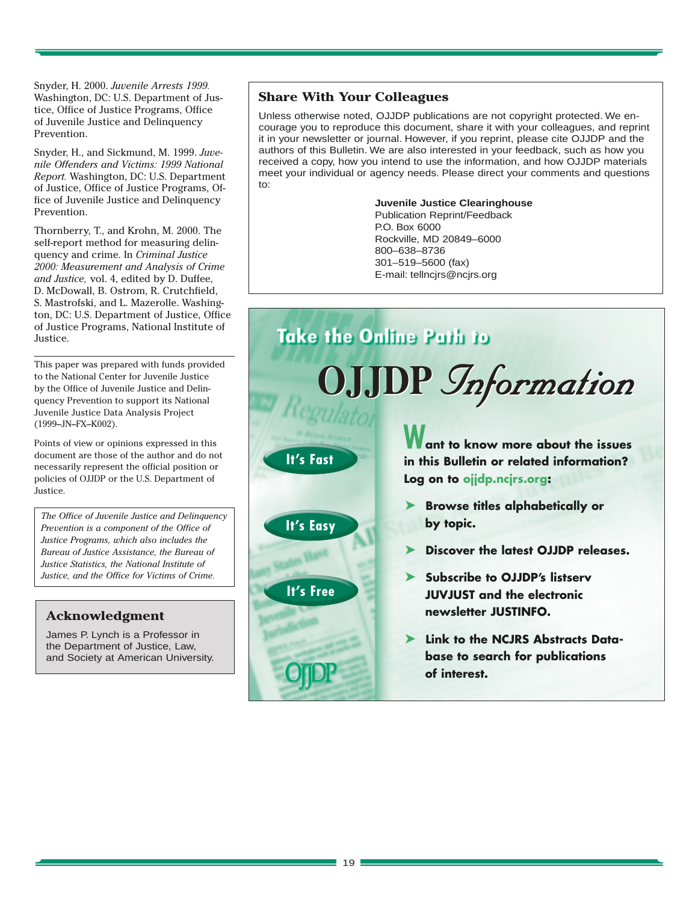Snyder, H. 2000. *Juvenile Arrests 1999.* Washington, DC: U.S. Department of Justice, Office of Justice Programs, Office of Juvenile Justice and Delinquency Prevention.

Snyder, H., and Sickmund, M. 1999. *Juvenile Offenders and Victims: 1999 National Report.* Washington, DC: U.S. Department of Justice, Office of Justice Programs, Office of Juvenile Justice and Delinquency Prevention.

Thornberry, T., and Krohn, M. 2000. The self-report method for measuring delinquency and crime. In *Criminal Justice 2000: Measurement and Analysis of Crime and Justice,* vol. 4, edited by D. Duffee, D. McDowall, B. Ostrom, R. Crutchfield, S. Mastrofski, and L. Mazerolle. Washington, DC: U.S. Department of Justice, Office of Justice Programs, National Institute of Justice.

This paper was prepared with funds provided to the National Center for Juvenile Justice by the Office of Juvenile Justice and Delinquency Prevention to support its National Juvenile Justice Data Analysis Project (1999–JN–FX–K002).

Points of view or opinions expressed in this document are those of the author and do not necessarily represent the official position or policies of OJJDP or the U.S. Department of Justice.

*The Office of Juvenile Justice and Delinquency Prevention is a component of the Office of Justice Programs, which also includes the Bureau of Justice Assistance, the Bureau of Justice Statistics, the National Institute of Justice, and the Office for Victims of Crime.*

# **Acknowledgment**

James P. Lynch is a Professor in the Department of Justice, Law, and Society at American University.

# **Share With Your Colleagues**

Unless otherwise noted, OJJDP publications are not copyright protected. We encourage you to reproduce this document, share it with your colleagues, and reprint it in your newsletter or journal. However, if you reprint, please cite OJJDP and the authors of this Bulletin. We are also interested in your feedback, such as how you received a copy, how you intend to use the information, and how OJJDP materials meet your individual or agency needs. Please direct your comments and questions to:

#### **Juvenile Justice Clearinghouse**

Publication Reprint/Feedback P.O. Box 6000 Rockville, MD 20849–6000 800–638–8736 301–519–5600 (fax) E-mail: tellncjrs@ncjrs.org

**Take the Online Path to** OJJDP *Information* **Want to know more about the issues It's Fast in this Bulletin or related information? Log on to ojjdp.ncjrs.org:** ➤ **Browse titles alphabetically or by topic. It's Easy** ➤ **Discover the latest OJJDP releases.** ➤ **Subscribe to OJJDP's listserv It's FreeJUVJUST and the electronic newsletter JUSTINFO.** ➤ **Link to the NCJRS Abstracts Database to search for publications of interest.**